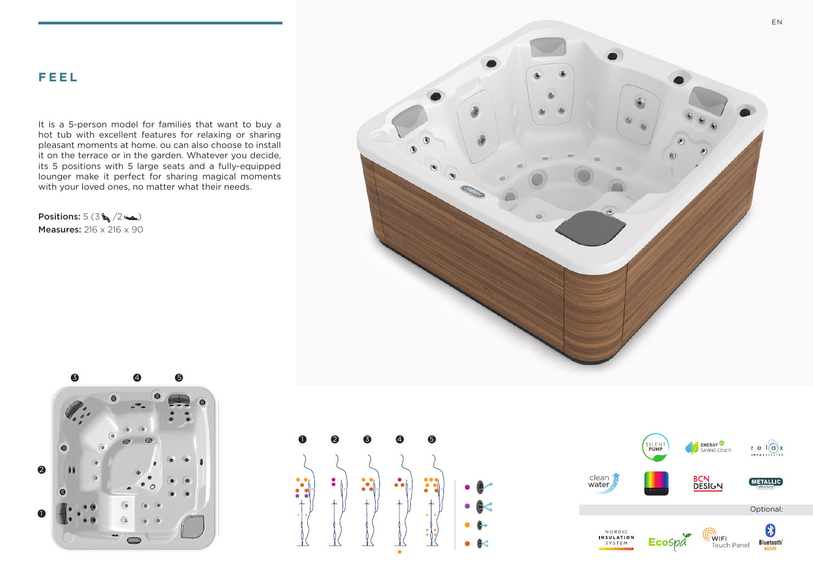It is a 5-person model for families that want to buy a hot tub with excellent features for relaxing or sharing pleasant moments at home. ou can also choose to install it on the terrace or in the garden. Whatever you decide, its 5 positions with 5 large seats and a fully-equipped lounger make it perfect for sharing magical moments with your loved ones, no matter what their needs.

Positions:  $5(3\sqrt{2})$ Measures: 216 x 216 x 90







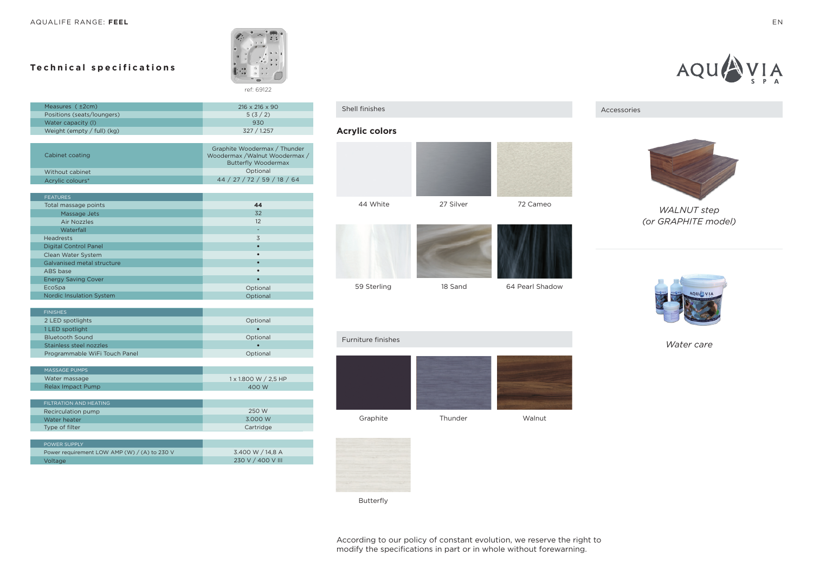## **Technical specifications**



| Measures $(+2cm)$            | $216 \times 216 \times 90$ |
|------------------------------|----------------------------|
| Positions (seats/loungers)   | 5(3/2)                     |
| Water capacity (I)           | 930                        |
| Weight (empty $/$ full) (kg) | 327 / 1.257                |

| Cabinet coating  | Graphite Woodermax / Thunder<br>Woodermax /Walnut Woodermax /<br><b>Butterfly Woodermax</b> |
|------------------|---------------------------------------------------------------------------------------------|
| Without cabinet  | Optional                                                                                    |
| Acrylic colours* | 44 / 27 / 72 / 59 / 18 / 64                                                                 |

| <b>FEATURES</b>                 |          |
|---------------------------------|----------|
| Total massage points            | 44       |
| Massage Jets                    | 32       |
| Air Nozzles                     | 12       |
| Waterfall                       | ۰        |
| <b>Headrests</b>                | 3        |
| <b>Digital Control Panel</b>    |          |
| Clean Water System              |          |
| Galvanised metal structure      |          |
| ABS base                        |          |
| <b>Energy Saving Cover</b>      |          |
| EcoSpa                          | Optional |
| <b>Nordic Insulation System</b> | Optional |

| <b>FINISHES</b>               |          |
|-------------------------------|----------|
| 2 LED spotlights              | Optional |
| 1 LED spotlight               |          |
| <b>Bluetooth Sound</b>        | Optional |
| Stainless steel nozzles       |          |
| Programmable WiFi Touch Panel | Optional |
|                               |          |

| MASSAGE PUMPS     |                      |
|-------------------|----------------------|
| Water massage     | 1 x 1.800 W / 2.5 HP |
| Relax Impact Pump | 400 W                |
|                   |                      |

| FILTRATION AND HEATING |           |
|------------------------|-----------|
| Recirculation pump     | 250 W     |
| Water heater           | 3.000 W   |
| Type of filter         | Cartridge |
|                        |           |

| <b>POWER SUPPLY</b>                          |                   |
|----------------------------------------------|-------------------|
| Power requirement LOW AMP (W) / (A) to 230 V | 3.400 W / 14.8 A  |
| Voltage                                      | 230 V / 400 V III |

#### Shell finishes

## **Acrylic colors**





Graphite Thunder Walnut



## Accessories



*WALNUT step (or GRAPHITE model)*



*Water care*



Furniture finishes

Butterfly

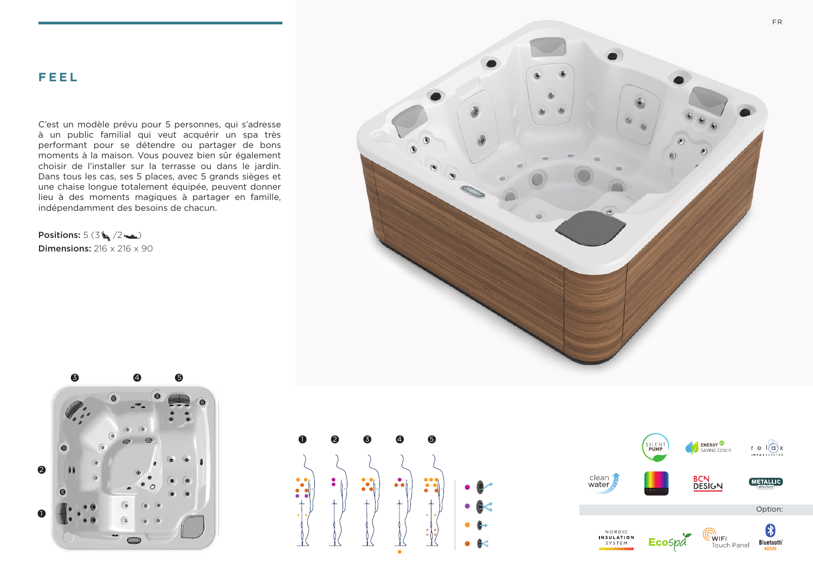C'est un modèle prévu pour 5 personnes, qui s'adresse à un public familial qui veut acquérir un spa très performant pour se détendre ou partager de bons moments à la maison. Vous pouvez bien sûr également choisir de l'installer sur la terrasse ou dans le jardin. Dans tous les cas, ses 5 places, avec 5 grands sièges et une chaise longue totalement équipée, peuvent donner lieu à des moments magiques à partager en famille, indépendamment des besoins de chacun.

Positions:  $5(3\sqrt{2\sqrt{2}})$ **Dimensions:**  $216 \times 216 \times 90$ 







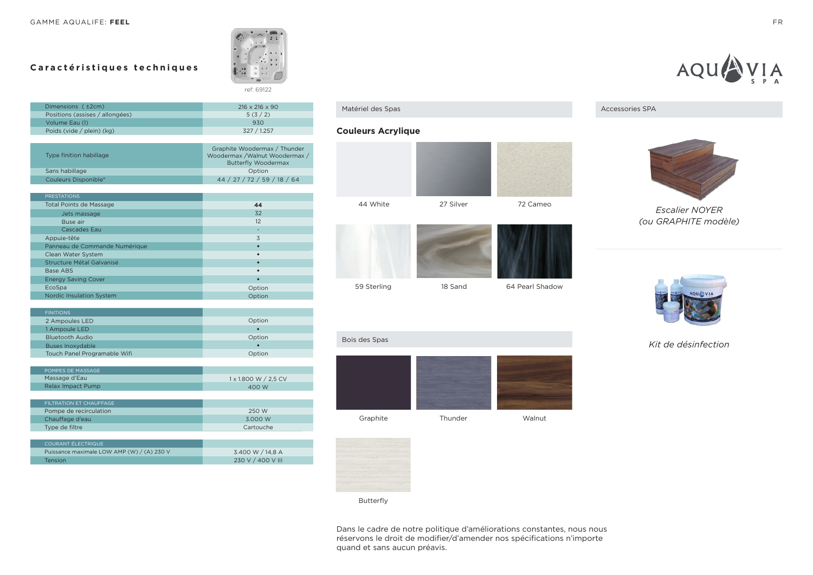## **Caractéristiques techniques**



| Dimensions ( ±2cm)              | $216 \times 216 \times 90$ |
|---------------------------------|----------------------------|
| Positions (assises / allongées) | 5(3/2)                     |
| Volume Eau (I)                  | 930                        |
| Poids (vide / plein) (kg)       | 327 / 1.257                |

| Type finition habillage | Graphite Woodermax / Thunder<br>Woodermax /Walnut Woodermax /<br><b>Butterfly Woodermax</b> |
|-------------------------|---------------------------------------------------------------------------------------------|
| Sans habillage          | Option                                                                                      |
| Couleurs Disponible*    | 44 / 27 / 72 / 59 / 18 / 64                                                                 |

| <b>PRESTATIONS</b>              |           |
|---------------------------------|-----------|
| <b>Total Points de Massage</b>  | 44        |
| Jets massage                    | 32        |
| Buse air                        | 12        |
| <b>Cascades Eau</b>             | ۰         |
| Appuie-tête                     | 3         |
| Panneau de Commande Numérique   | ٠         |
| Clean Water System              | $\bullet$ |
| Structure Métal Galvanisé       | $\bullet$ |
| <b>Base ABS</b>                 | $\bullet$ |
| <b>Energy Saving Cover</b>      | $\bullet$ |
| EcoSpa                          | Option    |
| <b>Nordic Insulation System</b> | Option    |

| <b>FINITIONS</b>             |        |
|------------------------------|--------|
| 2 Ampoules LED               | Option |
| 1 Ampoule LED                |        |
| <b>Bluetooth Audio</b>       | Option |
| <b>Buses Inoxydable</b>      |        |
| Touch Panel Programable Wifi | Option |
|                              |        |

| <b>POMPES DE MASSAGE</b> |                      |
|--------------------------|----------------------|
| Massage d'Eau            | 1 x 1.800 W / 2.5 CV |
| Relax Impact Pump        | 400 W                |
|                          |                      |

| FILTRATION FT CHAUFFAGE |           |
|-------------------------|-----------|
| Pompe de recirculation  | 250 W     |
| Chauffage d'eau         | 3.000 W   |
| Type de filtre          | Cartouche |

| COURANT ÉLECTRIQUE                         |                   |
|--------------------------------------------|-------------------|
| Puissance maximale LOW AMP (W) / (A) 230 V | 3.400 W / 14.8 A  |
| <b>Tension</b>                             | 230 V / 400 V III |

#### Matériel des Spas

## **Couleurs Acrylique**









Accessories SPA

*Escalier NOYER (ou GRAPHITE modèle)*



*Kit de désinfection*



Bois des Spas

ż





Butterfly

Dans le cadre de notre politique d'améliorations constantes, nous nous réservons le droit de modifier/d'amender nos spécifications n'importe quand et sans aucun préavis.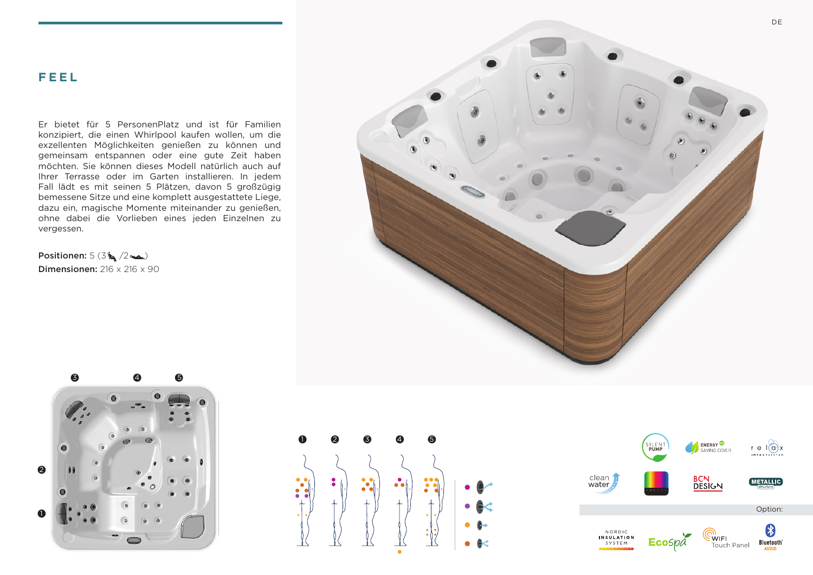Er bietet für 5 PersonenPlatz und ist für Familien konzipiert, die einen Whirlpool kaufen wollen, um die exzellenten Möglichkeiten genießen zu können und gemeinsam entspannen oder eine gute Zeit haben möchten. Sie können dieses Modell natürlich auch auf Ihrer Terrasse oder im Garten installieren. In jedem Fall lädt es mit seinen 5 Plätzen, davon 5 großzügig bemessene Sitze und eine komplett ausgestattete Liege, dazu ein, magische Momente miteinander zu genießen, ohne dabei die Vorlieben eines jeden Einzelnen zu vergessen.

Positionen:  $5(3\frac{1}{3}\sqrt{2\pi})$ Dimensionen: 216 x 216 x 90







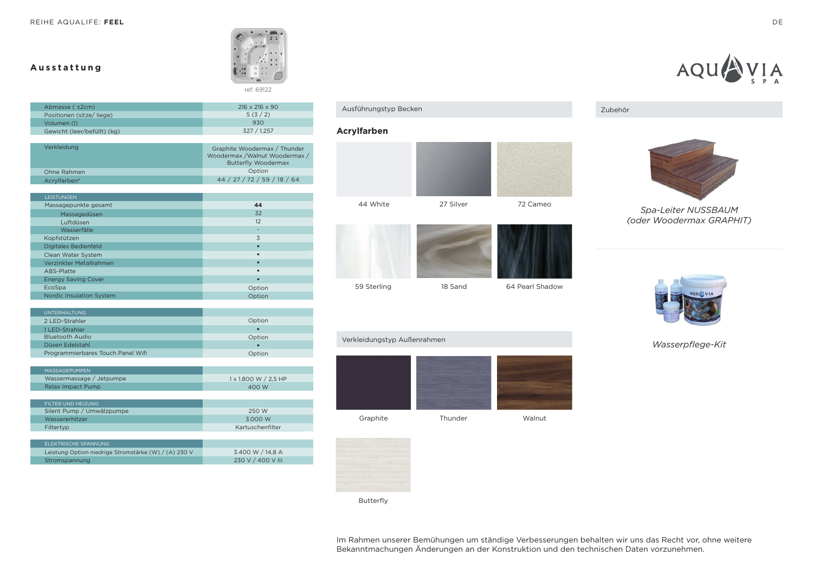## **Ausstattung**



Abmasse ( ±2cm) Volumen (l) Positionen (sitze/ liege) Gewicht (leer/befüllt) (kg) 216 x 216 x 90  $5(3/2)$  $930$ 327 / 1.257

| Verkleidung  | Graphite Woodermax / Thunder<br>Woodermax /Walnut Woodermax /<br><b>Butterfly Woodermax</b> |
|--------------|---------------------------------------------------------------------------------------------|
| Ohne Rahmen  | Option                                                                                      |
| Acrylfarben* | 44 / 27 / 72 / 59 / 18 / 64                                                                 |

| <b>LEISTUNGEN</b>               |           |
|---------------------------------|-----------|
| Massagepunkte gesamt            | 44        |
| Massagedüsen                    | 32        |
| Luftdüsen                       | 12        |
| Wasserfälle                     | ۰         |
| Kopfstützen                     | 3         |
| <b>Digitales Bedienfeld</b>     | $\bullet$ |
| Clean Water System              | $\bullet$ |
| Verzinkter Metallrahmen         | ٠         |
| ABS-Platte                      | $\bullet$ |
| <b>Energy Saving Cover</b>      | ٠         |
| EcoSpa                          | Option    |
| <b>Nordic Insulation System</b> | Option    |
|                                 |           |

| UNTERHALTUNG.                     |        |
|-----------------------------------|--------|
| 2 LED-Strahler                    | Option |
| 1 LED-Strahler                    |        |
| <b>Bluetooth Audio</b>            | Option |
| Düsen Edelstahl                   |        |
| Programmierbares Touch Panel Wifi | Option |

| MASSAGEPUMPEN            |                      |
|--------------------------|----------------------|
| Wassermassage / Jetpumpe | 1 x 1.800 W / 2.5 HP |
| Relax Impact Pump        | 400 W                |
|                          |                      |

| FILTER UND HEIZUNG        |                  |
|---------------------------|------------------|
| Silent Pump / Umwälzpumpe | 250 W            |
| Wassererhitzer            | 3.000 W          |
| Filtertyp                 | Kartuschenfilter |
|                           |                  |

| FLEKTRISCHE SPANNUNG                                 |                   |
|------------------------------------------------------|-------------------|
| Leistung Option niedrige Stromstärke (W) / (A) 230 V | 3.400 W / 14.8 A  |
| Stromspannung                                        | 230 V / 400 V III |

# Ausführungstyp Becken

## **Acrylfarben**





Graphite Thunder Walnut





AQU

*Spa-Leiter NUSSBAUM (oder Woodermax GRAPHIT)*



*Wasserpflege-Kit*

Verkleidungstyp Außenrahmen

Butterfly

Im Rahmen unserer Bemühungen um ständige Verbesserungen behalten wir uns das Recht vor, ohne weitere Bekanntmachungen Änderungen an der Konstruktion und den technischen Daten vorzunehmen.

 $\bigvee_{S} A$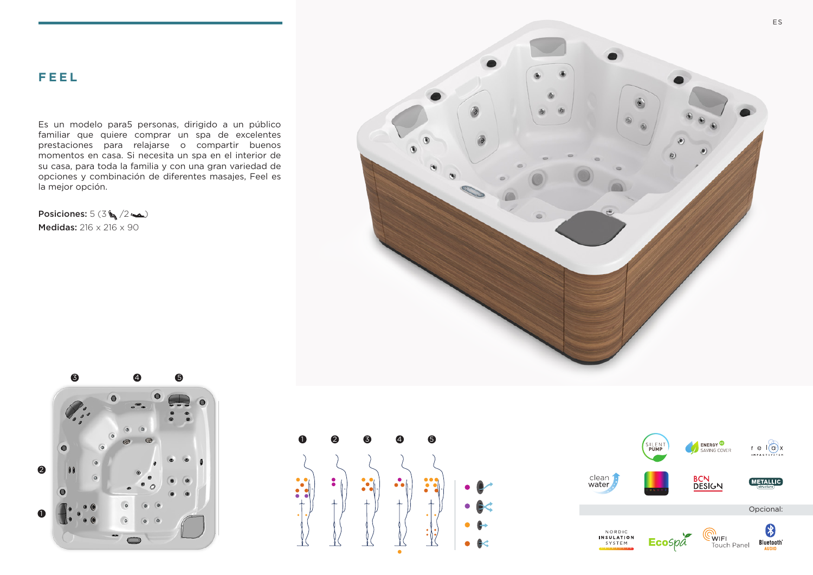Es un modelo para5 personas, dirigido a un público familiar que quiere comprar un spa de excelentes prestaciones para relajarse o compartir buenos momentos en casa. Si necesita un spa en el interior de su casa, para toda la familia y con una gran variedad de opciones y combinación de diferentes masajes, Feel es la mejor opción.

Posiciones:  $5(3 \xi / 2 \blacktriangle)$ Medidas: 216 x 216 x 90







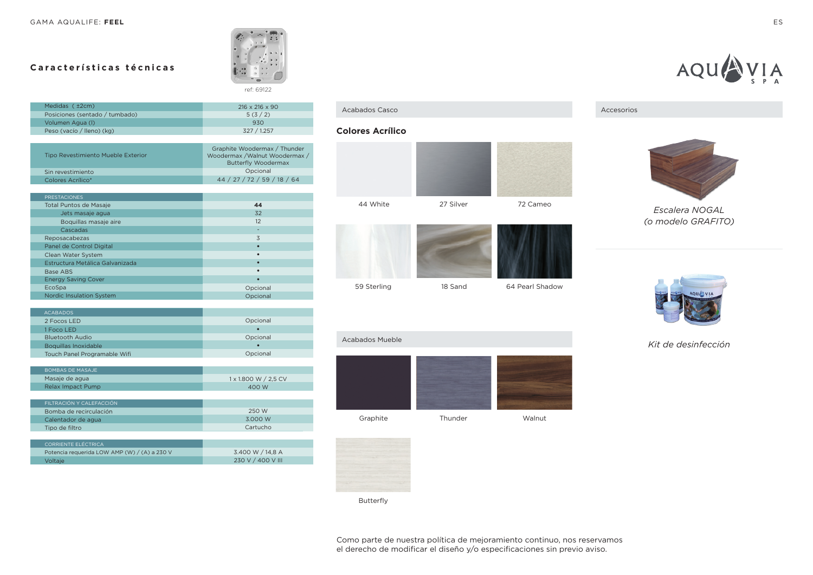## **Características técnicas**



| Medidas ( ±2cm)                | $216 \times 216 \times 90$ |
|--------------------------------|----------------------------|
| Posiciones (sentado / tumbado) | 5(3/2)                     |
| Volumen Agua (I)               | 930                        |
| Peso (vacío / lleno) (kg)      | 327 / 1.257                |

| Tipo Revestimiento Mueble Exterior | Graphite Woodermax / Thunder<br>Woodermax / Walnut Woodermax /<br><b>Butterfly Woodermax</b> |
|------------------------------------|----------------------------------------------------------------------------------------------|
| Sin revestimiento                  | Opcional                                                                                     |
| Colores Acrílico*                  | 44 / 27 / 72 / 59 / 18 / 64                                                                  |

| <b>PRESTACIONES</b>             |          |
|---------------------------------|----------|
| <b>Total Puntos de Masaje</b>   | 44       |
| Jets masaje agua                | 32       |
| Boquillas masaje aire           | 12       |
| Cascadas                        | -        |
| Reposacabezas                   | 3        |
| Panel de Control Digital        |          |
| Clean Water System              |          |
| Estructura Metálica Galvanizada |          |
| Base ABS                        |          |
| <b>Energy Saving Cover</b>      |          |
| EcoSpa                          | Opcional |
| <b>Nordic Insulation System</b> | Opcional |

| <b>ACABADOS</b>              |          |
|------------------------------|----------|
| 2 Focos LED                  | Opcional |
| 1 Foco LED                   |          |
| <b>Bluetooth Audio</b>       | Opcional |
| Boquillas Inoxidable         |          |
| Touch Panel Programable Wifi | Opcional |
|                              |          |

| BOMBAS DE MASAJE  |                      |
|-------------------|----------------------|
| Masaje de agua    | 1 x 1.800 W / 2.5 CV |
| Relax Impact Pump | 400 W                |
|                   |                      |

| LEII TRACIÓN Y CAI FFACCIÓN. |          |
|------------------------------|----------|
| Bomba de recirculación       | 250 W    |
| Calentador de agua           | 3.000 W  |
| Tipo de filtro               | Cartucho |

| CORRIENTE ELÉCTRICA                          |                   |
|----------------------------------------------|-------------------|
| Potencia requerida LOW AMP (W) / (A) a 230 V | 3.400 W / 14.8 A  |
| <b>Voltaje</b>                               | 230 V / 400 V III |

#### Acabados Casco Accesorios

#### **Colores Acrílico**





Graphite Thunder Walnut





AQUA

*Escalera NOGAL (o modelo GRAFITO)*



*Kit de desinfección*



Acabados Mueble

Butterfly

 $V A$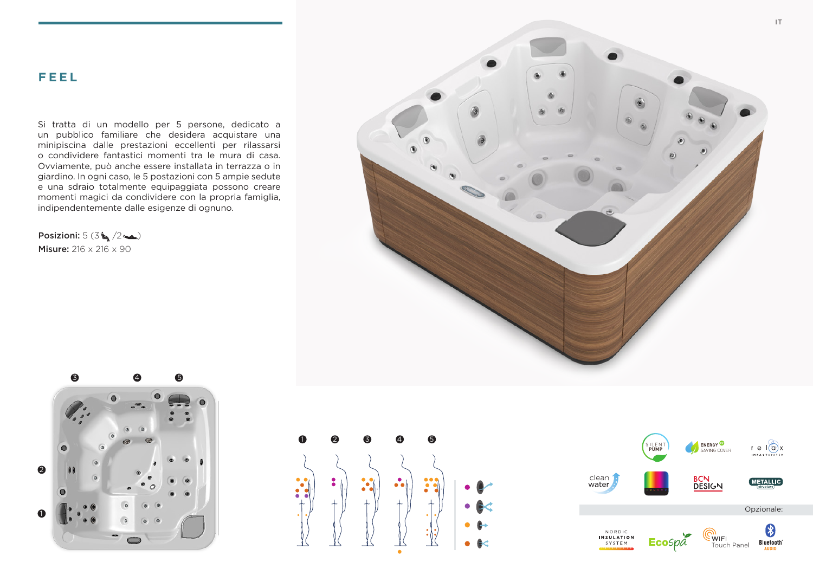Si tratta di un modello per 5 persone, dedicato a un pubblico familiare che desidera acquistare una minipiscina dalle prestazioni eccellenti per rilassarsi o condividere fantastici momenti tra le mura di casa. Ovviamente, può anche essere installata in terrazza o in giardino. In ogni caso, le 5 postazioni con 5 ampie sedute e una sdraio totalmente equipaggiata possono creare momenti magici da condividere con la propria famiglia, indipendentemente dalle esigenze di ognuno.

Posizioni:  $5(3\sqrt{2\sqrt{2}})$ Misure: 216 x 216 x 90